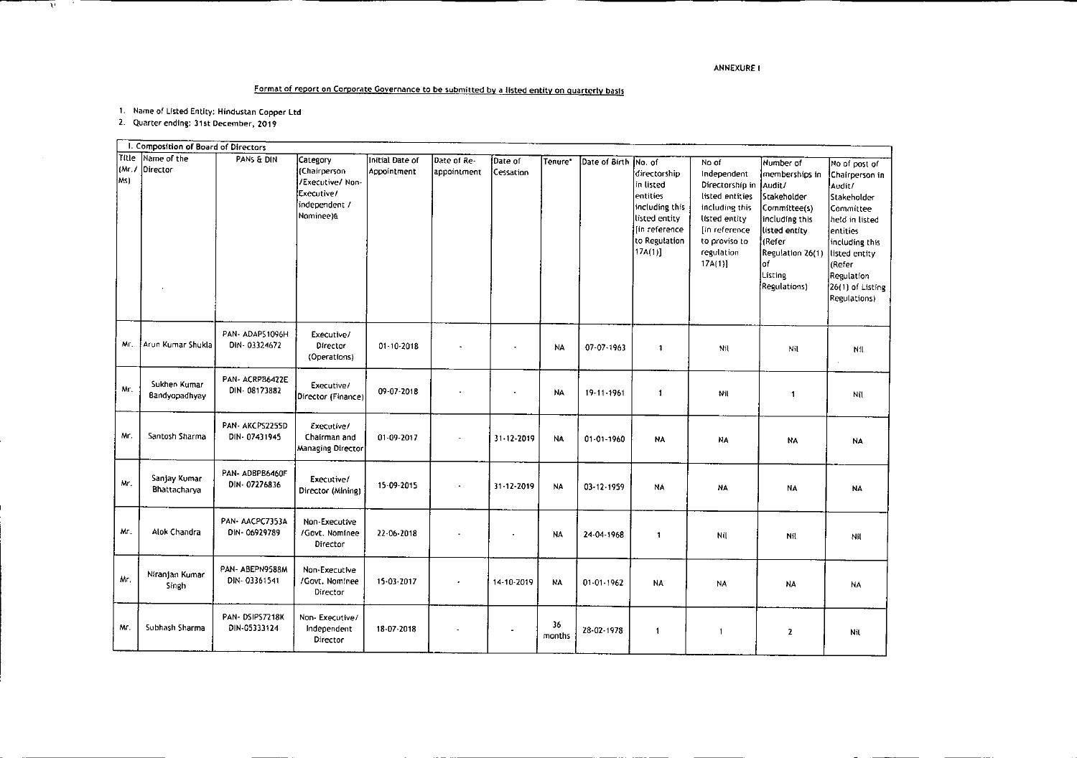## ANNEXURE I

## Format of report on Corporate Governance to be submitted by a listed entity on quarterly basis

1. Name of Listed Entity: Hindustan Copper Ltd

2. Quarter ending: 31st December, 2019

.

 $\overline{v}$ 

- 30

 $\overline{a}$ 

|                      | I. Composition of Board of Directors |                                 |                                                                                          |                                |                            |                      |              |                      |                                                                                                                       |                                                                                                                                                          |                                                                                                                                                                          |                                                                                                                                                                                                    |
|----------------------|--------------------------------------|---------------------------------|------------------------------------------------------------------------------------------|--------------------------------|----------------------------|----------------------|--------------|----------------------|-----------------------------------------------------------------------------------------------------------------------|----------------------------------------------------------------------------------------------------------------------------------------------------------|--------------------------------------------------------------------------------------------------------------------------------------------------------------------------|----------------------------------------------------------------------------------------------------------------------------------------------------------------------------------------------------|
| Title<br>(Mr.<br>Ms) | Name of the<br>Director              | PANS & DIN                      | Category<br>(Chairperson<br>/Executive/ Non-<br>Executive/<br>independent /<br>Nominee)& | Initial Date of<br>Appointment | Date of Re-<br>appointment | Date of<br>Cessation | Tenure'      | Date of Birth No. of | directorship<br>in listed<br>entities<br>including this<br>listed entity<br>[in reference]<br>to Regulation<br>17A(1) | No of<br>Independent<br>Directorship in<br>listed entities<br>including this<br>listed entity<br>[in reference]<br>to proviso to<br>regulation<br>17A(1) | Number of<br>memberships in<br>Audit/<br>Stakeholder<br>Committee(s)<br>including this<br>listed entity<br>liRefer<br>Regulation 26(1)<br>lof<br>Listing<br>Regulations) | No of post of<br>Chairperson in<br>Audit/<br>Stakeholder<br>Committee<br>held in listed<br>entities<br>including this<br>listed entity<br>(Refer<br>Regulation<br>26(1) of Listing<br>Regulations) |
| Mr.                  | Arun Kumar Shukla                    | PAN-ADAPS1096H<br>DIN-03324672  | Executive/<br>Director<br>(Operations)                                                   | 01-10-2018                     |                            | $\blacksquare$       | <b>NA</b>    | $07 - 07 - 1963$     | $\mathbf{1}$                                                                                                          | Nil                                                                                                                                                      | Nil                                                                                                                                                                      | Nil                                                                                                                                                                                                |
| Mr.                  | Sukhen Kumar<br>Bandyopadhyay        | PAN-ACRPB6422E<br>DIN 08173882  | Executive/<br>Director (Finance)                                                         | 09-07-2018                     |                            |                      | <b>NA</b>    | 19.11.1961           | 1                                                                                                                     | Nil                                                                                                                                                      | $\blacktriangleleft$                                                                                                                                                     | Nil                                                                                                                                                                                                |
| Mr.                  | Santosh Sharma                       | PAN- AKCPS2255D<br>DIN-07431945 | Executive/<br>Chairman and<br>Managing Director                                          | 01-09-2017                     |                            | 31-12-2019           | <b>NA</b>    | $01 - 01 - 1960$     | <b>NA</b>                                                                                                             | NA                                                                                                                                                       | <b>NA</b>                                                                                                                                                                | NA                                                                                                                                                                                                 |
| Mr.                  | Sanjay Kumar<br>Bhattacharva         | PAN-ADBPB6460F<br>DIN-07276836  | Executive/<br>Director (Mining)                                                          | 15-09-2015                     |                            | 31-12-2019           | <b>NA</b>    | 03-12-1959           | NA                                                                                                                    | NA                                                                                                                                                       | <b>NA</b>                                                                                                                                                                | <b>NA</b>                                                                                                                                                                                          |
| Mr.                  | Alok Chandra                         | PAN-AACPC7353A<br>DIN-06929789  | Non-Executive<br>/Govt. Nominee<br>Director                                              | 22-06-2018                     |                            | ٠                    | <b>NA</b>    | 24-04-1968           | 1                                                                                                                     | Nil                                                                                                                                                      | Nft                                                                                                                                                                      | Nil                                                                                                                                                                                                |
| Mr.                  | Niranjan Kumar<br>Singh              | PAN-ABEPN9588M<br>DIN-03361541  | Non-Executive<br>/Govt. Nominee<br>Director                                              | 15-03-2017                     |                            | 14-10-2019           | <b>NA</b>    | $01 - 01 - 1962$     | <b>NA</b>                                                                                                             | NA                                                                                                                                                       | <b>NA</b>                                                                                                                                                                | NA                                                                                                                                                                                                 |
| Mr.                  | Subhash Sharma                       | PAN-DSIPS7218K<br>DIN-05333124  | Non-Executive/<br>Independent<br>Director                                                | 18-07-2018                     |                            |                      | 36<br>months | 28-02-1978           | 1                                                                                                                     | $\mathbf{1}$                                                                                                                                             | $\overline{z}$                                                                                                                                                           | Nil                                                                                                                                                                                                |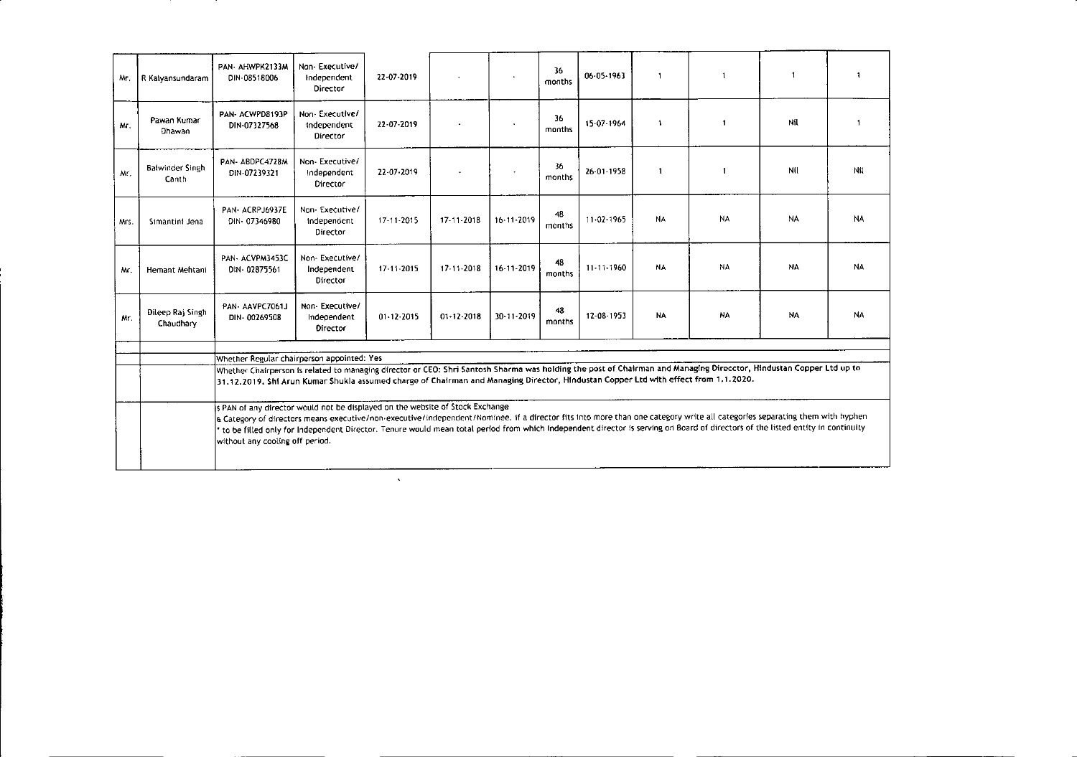| Mr.  | R Kalyansundaram              | PAN-AHWPK2133M<br>DIN 08518006                                                                                                                                                                                                                                                                                                                                                                                                                                                   | Nan-Executive/<br>Independent<br>Director        | 22-07-2019       |                  |                  | 36<br>months | $06 - 05 - 1963$ | $\mathbf{1}$ | $\overline{1}$           |           | $\mathbf{1}$ |
|------|-------------------------------|----------------------------------------------------------------------------------------------------------------------------------------------------------------------------------------------------------------------------------------------------------------------------------------------------------------------------------------------------------------------------------------------------------------------------------------------------------------------------------|--------------------------------------------------|------------------|------------------|------------------|--------------|------------------|--------------|--------------------------|-----------|--------------|
| Мτ.  | Pawan Kumar<br>Dhawan         | PAN- ACWPD8193P<br>DIN-07327568                                                                                                                                                                                                                                                                                                                                                                                                                                                  | Non-Executive/<br>Independent<br>Director        | 22 07 2019       |                  |                  | 36<br>months | 15-07-1964       | $\mathbf{1}$ | $\mathbf{1}$             | Nil       |              |
| Mr.  | Balwinder Singh<br>Canth      | PAN-ABDPC4728M<br>DIN-07239321                                                                                                                                                                                                                                                                                                                                                                                                                                                   | Non-Executive/<br>Independent<br>Director        | 22-07-2019       |                  |                  | 36<br>months | 26 01 1958       | -1           | $\overline{\phantom{a}}$ | Nil       | Nil          |
| Mrs. | Simantini Jena                | PAN-ACRPJ6937E<br>DIN-07346980                                                                                                                                                                                                                                                                                                                                                                                                                                                   | Non-Executive/<br>Independent<br>Director        | $17 - 11 - 2015$ | 17-11-2018       | $16 - 11 - 2019$ | 48<br>months | 11.02.1965       | <b>NA</b>    | <b>NA</b>                | NA        | <b>NA</b>    |
| Mr.  | Hemant Mehtani                | PAN- ACVPM3453C<br>DIN-02875561                                                                                                                                                                                                                                                                                                                                                                                                                                                  | Non-Executive/<br>Independent<br>Director        | 17-11-2015       | $17 - 11 - 2018$ | 16-11-2019       | 48<br>months | $11 - 11 - 1960$ | <b>NA</b>    | NA                       | NA        | <b>NA</b>    |
| Mr.  | Dileep Raj Singh<br>Chaudhary | PAN-AAVPC7061J<br>DIN-00269508                                                                                                                                                                                                                                                                                                                                                                                                                                                   | Non-Executive/<br>Indecendent<br><b>Director</b> | $01 - 12 - 2015$ | $01 - 12 - 2018$ | 30-11-2019       | 48<br>months | 12-08-1953       | <b>NA</b>    | NA                       | <b>NA</b> | NΑ           |
|      |                               |                                                                                                                                                                                                                                                                                                                                                                                                                                                                                  |                                                  |                  |                  |                  |              |                  |              |                          |           |              |
|      |                               | Whether Regular chairperson appointed: Yes<br>Whether Chairperson is related to managing director or CEO: Shri Santosh Sharma was holding the post of Chairman and Managing Direcctor, Hindustan Copper Ltd up to                                                                                                                                                                                                                                                                |                                                  |                  |                  |                  |              |                  |              |                          |           |              |
|      |                               | 31.12.2019, Shi Arun Kumar Shukla assumed charge of Chairman and Managing Director, Hindustan Copper Ltd with effect from 1.1.2020.                                                                                                                                                                                                                                                                                                                                              |                                                  |                  |                  |                  |              |                  |              |                          |           |              |
|      |                               | s PAN of any director would not be displayed on the website of Stock Exchange<br>a Category of directors means executive/non-executive/independent/Nominee. If a director fits into more than one category write all categories separating them with hyphen<br>to be filled only for Independent Director. Tenure would mean total period from which Independent director is serving on Board of directors of the listed entity in continuity<br>without any cooling off period. |                                                  |                  |                  |                  |              |                  |              |                          |           |              |

 $\mathcal{L}(\mathcal{L}^{\mathcal{L}})$  and  $\mathcal{L}(\mathcal{L}^{\mathcal{L}})$  .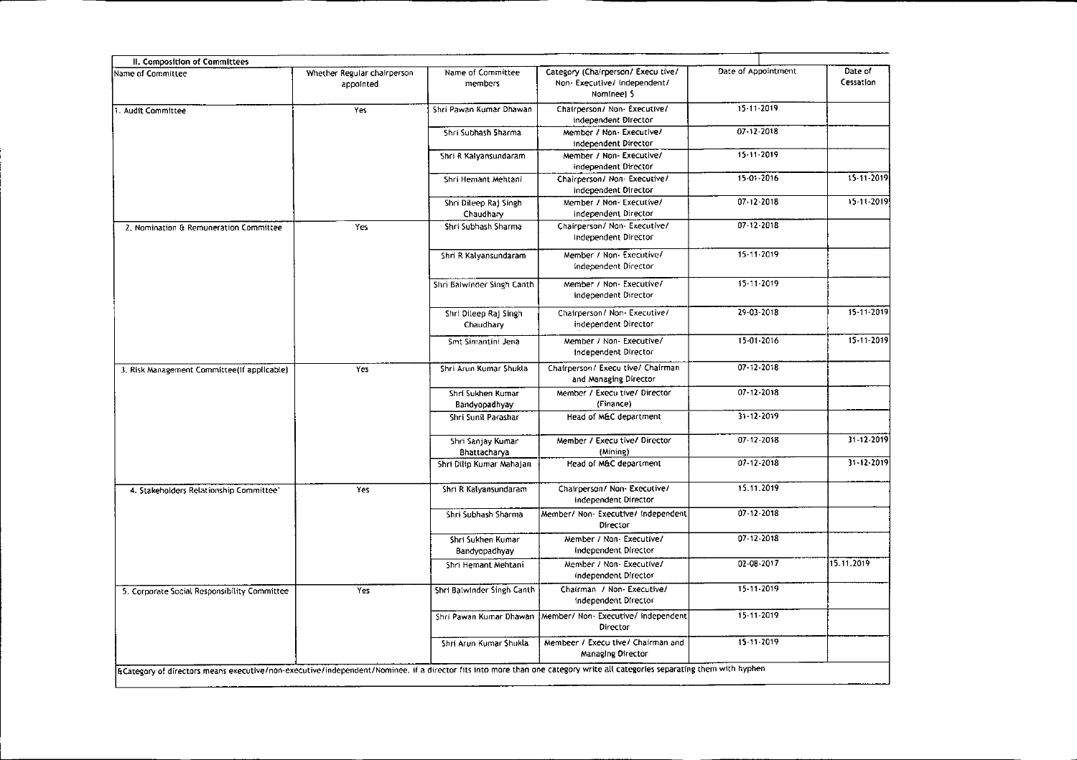| Whether Regular chairperson | Name of Committee                        | Category (Chairperson/ Execultive/                         | Date of Appointment                |                                                                                                                                                                           |
|-----------------------------|------------------------------------------|------------------------------------------------------------|------------------------------------|---------------------------------------------------------------------------------------------------------------------------------------------------------------------------|
| appointed                   | members                                  | Non-Executive/independent/<br>Nomineel S                   |                                    | Date of<br>Cessation                                                                                                                                                      |
| Yes                         | Shri Pawan Kumar Dhawan                  | Chairperson/ Non- Executive/<br>independent Director       | $15 - 11 - 2019$                   |                                                                                                                                                                           |
|                             | Shri Subhash Sharma                      | Member / Non- Executive/<br>independent Director           | $07 - 12 - 2018$                   |                                                                                                                                                                           |
|                             | Shri R Kalyansundaram                    | Member / Non- Executive/<br>independent Director           | 15-11-2019                         |                                                                                                                                                                           |
|                             | Shri Hemant Mehtani                      | Chairperson/ Non- Executive/<br>independent Director       | $15.01 - 2016$                     | 15-11-2019                                                                                                                                                                |
|                             | Shri Dileep Raj Singh<br>Chaudhary       | Member / Non- Executive/<br>independent Director           | $07.12 - 2018$                     | 15-11-2019                                                                                                                                                                |
| Yes                         | Shri Subhash Sharma                      | Chairperson/ Non- Executive/<br>independent Director       | 07-12-2018                         |                                                                                                                                                                           |
|                             | Shri R Kalyansundaram                    | Member / Non- Executive/<br>independent Director           | 15-11-2019                         |                                                                                                                                                                           |
|                             | Shri Balwinder Singh Canth               | Member / Non-Executive/<br>independent Director            | 15-11-2019                         |                                                                                                                                                                           |
|                             | Shri Dileep Raj Singh<br>Chaudhary       | Chairperson/ Non- Executive/<br>independent Director       | 29-03-2018                         | 15-11-2019                                                                                                                                                                |
|                             | Smt Simantini Jena                       | Member / Non-Executive/<br>Independent Director            | $15 - 01 - 2016$                   | 15-11-2019                                                                                                                                                                |
| Yes                         | Shri Arun Kumar Shukla                   | Chairperson/ Execu tive/ Chairman<br>and Managing Director | 07-12-2018                         |                                                                                                                                                                           |
|                             | Shri Sukhen Kumar<br>Bandyopadhyay       | Member / Execu tive/ Director<br>(Finance)                 | 07-12-2018                         |                                                                                                                                                                           |
|                             | Shri Sunil Parashar                      | Head of M&C department                                     | 31-12-2019                         |                                                                                                                                                                           |
|                             | Shri Sanjay Kumar<br><b>Bhattacharya</b> | Member / Execu tive/ Director<br>(Mining)                  | 07-12-2018                         | 31-12-2019                                                                                                                                                                |
|                             | Shri Dilip Kumar Mahajan                 | Head of M&C department                                     | 07-12-2018                         | 31-12-2019                                                                                                                                                                |
| Yes                         | Shri R Kalyansundaram                    | Chairperson/ Non- Executive/<br>independent Director       | 15.11.2019                         |                                                                                                                                                                           |
|                             | Shri Subhash Sharma                      | Member/ Non- Executive/ independent<br>Director            | 07 12 2018                         |                                                                                                                                                                           |
|                             | Shri Sukhen Kumar<br>Bandyopadhyay       | Member / Non- Executive/<br><b>Independent Director</b>    | 07-12-2018                         |                                                                                                                                                                           |
|                             | Shri Hemant Mentani                      | Member / Non- Executive/<br>independent Director           | 02-08-2017                         | 15.11.2019                                                                                                                                                                |
| Yes                         | Shri Balwinder Singh Canth               | Chairman / Non- Executive/<br>independent Director         | 15-11-2019                         |                                                                                                                                                                           |
|                             | Shri Pawan Kumar Dhawan                  | Director                                                   | 15-11-2019                         |                                                                                                                                                                           |
|                             | Shri Arun Kumar Shukla                   | Membeer / Execultive/ Chairman and<br>Managing Director    | 15-11-2019                         |                                                                                                                                                                           |
|                             |                                          |                                                            | Member/ Non Executive/ independent | ECategory of directors means executive/non-executive/independent/Nominee. if a director fits into more than one category write all categories separating them with hyphen |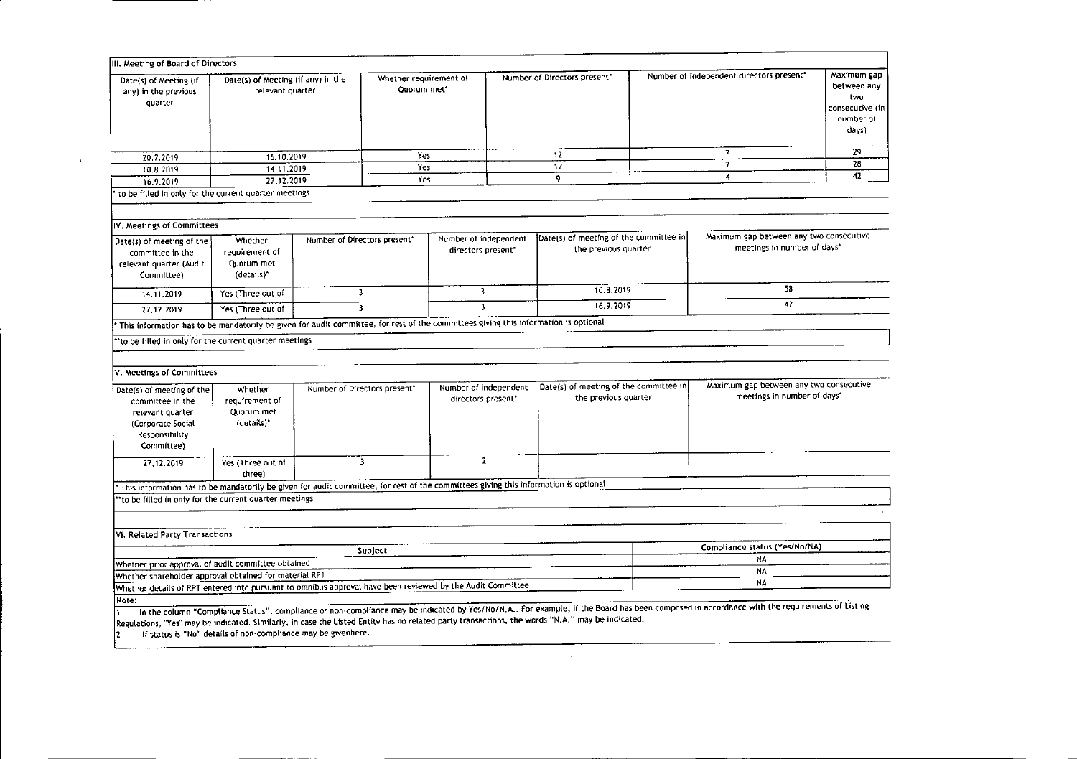| III. Meeting of Board of Directors                                                                                                              |                                                        |                              |                                       |                                             |                              |                                                                |                                          |                                                                                                                                                                                           |                                                                            |
|-------------------------------------------------------------------------------------------------------------------------------------------------|--------------------------------------------------------|------------------------------|---------------------------------------|---------------------------------------------|------------------------------|----------------------------------------------------------------|------------------------------------------|-------------------------------------------------------------------------------------------------------------------------------------------------------------------------------------------|----------------------------------------------------------------------------|
| Date(s) of Meeting (if<br>any) in the previous<br>quarter                                                                                       | Date(s) of Meeting (if any) in the<br>relevant quarter |                              | Whether requirement of<br>Ouorum met* |                                             | Number of Directors present" |                                                                | Number of independent directors present* |                                                                                                                                                                                           | Maximum gap<br>between any<br>two<br>consecutive (in<br>number of<br>days) |
| 20.7.2019                                                                                                                                       | 16.10.2019                                             |                              | Yes                                   |                                             |                              | 12                                                             |                                          | $\overline{\phantom{a}}$                                                                                                                                                                  | 29                                                                         |
| 10.8.2019                                                                                                                                       | 14.11.2019                                             |                              | Yes                                   |                                             |                              | 12                                                             |                                          | $\overline{7}$                                                                                                                                                                            | 28                                                                         |
| 16.9.2019                                                                                                                                       | 27.12.2019                                             |                              | Yes                                   |                                             | 9                            |                                                                | 4                                        |                                                                                                                                                                                           | 42                                                                         |
| to be filled in only for the current quarter meetings                                                                                           |                                                        |                              |                                       |                                             |                              |                                                                |                                          |                                                                                                                                                                                           |                                                                            |
| IV. Meetings of Committees                                                                                                                      |                                                        |                              |                                       |                                             |                              |                                                                |                                          |                                                                                                                                                                                           |                                                                            |
| Date(s) of meeting of the<br>committee in the<br>relevant quarter (Audit<br>Committee)                                                          | Whether<br>requirement of<br>Quorum met<br>(details)*  | Number of Directors present* |                                       | Number of independent<br>directors present* |                              | Date(s) of meeting of the committee in<br>the previous quarter |                                          | Maximum gap between any two consecutive<br>meetings in number of days*                                                                                                                    |                                                                            |
| 14.11.2019                                                                                                                                      | Yes (Three out of                                      | $\overline{\mathbf{3}}$      |                                       | 3                                           |                              | 10.8.2019                                                      |                                          | 58                                                                                                                                                                                        |                                                                            |
| 27.12.2019                                                                                                                                      | Yes (Three out of                                      | $\mathbf{3}$                 |                                       | 3                                           |                              | 16.9.2019                                                      |                                          | 42                                                                                                                                                                                        |                                                                            |
| This information has to be mandatorily be given for audit committee, for rest of the committees giving this information is optional             |                                                        |                              |                                       |                                             |                              |                                                                |                                          |                                                                                                                                                                                           |                                                                            |
| "to be filled in only for the current quarter meetings<br>V. Meetings of Committees                                                             |                                                        |                              |                                       |                                             |                              |                                                                |                                          |                                                                                                                                                                                           |                                                                            |
| Date(s) of meeting of the<br>committee in the<br>relevant quarter<br>(Corporate Social<br>Responsibility<br>Committee)                          | Whether<br>requirement of<br>Quorum met<br>(details)*  | Number of Directors present* |                                       | Number of independent<br>directors present* |                              | Date(s) of meeting of the committee in<br>the previous quarter |                                          | Maximum gap between any two consecutive<br>meetings in number of days*                                                                                                                    |                                                                            |
| 27.12.2019                                                                                                                                      | Yes (Three out of<br>three)                            | 3                            |                                       | $\overline{2}$                              |                              |                                                                |                                          |                                                                                                                                                                                           |                                                                            |
| This information has to be mandatorily be given for audit committee, for rest of the committees giving this information is optional             |                                                        |                              |                                       |                                             |                              |                                                                |                                          |                                                                                                                                                                                           |                                                                            |
| *to be filled in only for the current quarter meetings                                                                                          |                                                        |                              |                                       |                                             |                              |                                                                |                                          |                                                                                                                                                                                           |                                                                            |
| VI. Related Party Transactions                                                                                                                  |                                                        |                              |                                       |                                             |                              |                                                                |                                          |                                                                                                                                                                                           |                                                                            |
|                                                                                                                                                 |                                                        |                              | Subject                               |                                             |                              |                                                                |                                          | Compliance status (Yes/No/NA)                                                                                                                                                             |                                                                            |
| Whether prior approval of audit committee obtained                                                                                              |                                                        |                              |                                       |                                             |                              |                                                                |                                          | NA                                                                                                                                                                                        |                                                                            |
| Whether shareholder approval obtained for material RPT                                                                                          |                                                        |                              |                                       |                                             |                              |                                                                |                                          | <b>NA</b>                                                                                                                                                                                 |                                                                            |
| Whether details of RPT entered into pursuant to omnibus approval have been reviewed by the Audit Committee                                      |                                                        |                              |                                       |                                             |                              |                                                                |                                          | <b>NA</b>                                                                                                                                                                                 |                                                                            |
| Note:                                                                                                                                           |                                                        |                              |                                       |                                             |                              |                                                                |                                          |                                                                                                                                                                                           |                                                                            |
|                                                                                                                                                 |                                                        |                              |                                       |                                             |                              |                                                                |                                          | In the column "Compliance Status", compliance or non-compliance may be indicated by Yes/No/N.A For example, if the Board has been composed in accordance with the requirements of Listing |                                                                            |
| Regulations, "Yes" may be indicated. Similarly, in case the Listed Entity has no related party transactions, the words "N.A." may be indicated. |                                                        |                              |                                       |                                             |                              |                                                                |                                          |                                                                                                                                                                                           |                                                                            |

 $\vert$ <sub>2</sub> If status is "No" details of non-compliance may be given here.

 $\sim$